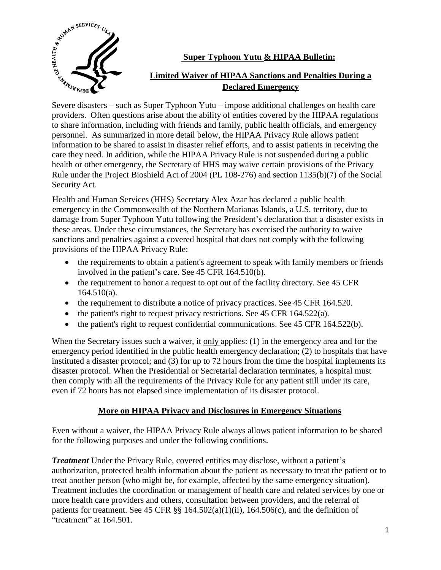

## **Super Typhoon Yutu & HIPAA Bulletin:**

# **Limited Waiver of HIPAA Sanctions and Penalties During a Declared Emergency**

providers. Often questions arise about the ability of entities covered by the HIPAA regulations to share information, including with friends and family, public health officials, and emergency personnel. As summarized in more detail below, the HIPAA Privacy Rule allows patient information to be shared to assist in disaster relief efforts, and to assist patients in receiving the care they need. In addition, while the HIPAA Privacy Rule is not suspended during a public health or other emergency, the Secretary of HHS may waive certain provisions of the Privacy Rule under the Project Bioshield Act of 2004 (PL 108-276) and section 1135(b)(7) of the Social Security Act.

Health and Human Services (HHS) Secretary Alex Azar has declared a public health emergency in the Commonwealth of the Northern Marianas Islands, a U.S. territory, due to damage from Super Typhoon Yutu following the President's declaration that a disaster exists in these areas. Under these circumstances, the Secretary has exercised the authority to waive sanctions and penalties against a covered hospital that does not comply with the following provisions of the HIPAA Privacy Rule:

- the requirements to obtain a patient's agreement to speak with family members or friends involved in the patient's care. See 45 CFR 164.510(b).
- the requirement to honor a request to opt out of the facility directory. See 45 CFR  $164.510(a)$ .
- the requirement to distribute a notice of privacy practices. See 45 CFR 164.520.
- $\bullet$  the patient's right to request privacy restrictions. See 45 CFR 164.522(a).
- the patient's right to request confidential communications. See 45 CFR 164.522(b).

When the Secretary issues such a waiver, it only applies: (1) in the emergency area and for the emergency period identified in the public health emergency declaration; (2) to hospitals that have instituted a disaster protocol; and (3) for up to 72 hours from the time the hospital implements its disaster protocol. When the Presidential or Secretarial declaration terminates, a hospital must then comply with all the requirements of the Privacy Rule for any patient still under its care, even if 72 hours has not elapsed since implementation of its disaster protocol.

## **More on HIPAA Privacy and Disclosures in Emergency Situations**

Even without a waiver, the HIPAA Privacy Rule always allows patient information to be shared for the following purposes and under the following conditions.

*Treatment* Under the Privacy Rule, covered entities may disclose, without a patient's authorization, protected health information about the patient as necessary to treat the patient or to treat another person (who might be, for example, affected by the same emergency situation). Treatment includes the coordination or management of health care and related services by one or more health care providers and others, consultation between providers, and the referral of patients for treatment. See 45 CFR  $\S$  164.502(a)(1)(ii), 164.506(c), and the definition of "treatment" at 164.501.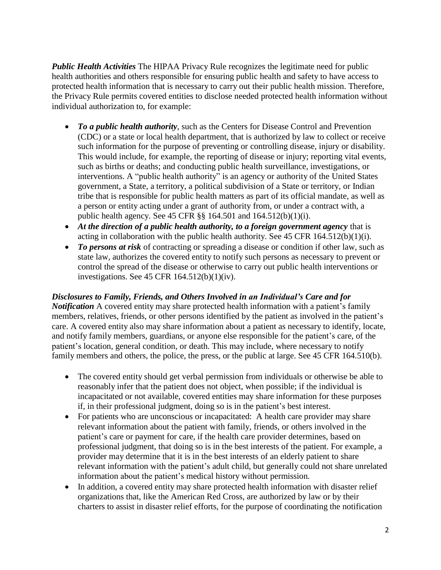*Public Health Activities* The HIPAA Privacy Rule recognizes the legitimate need for public health authorities and others responsible for ensuring public health and safety to have access to protected health information that is necessary to carry out their public health mission. Therefore, the Privacy Rule permits covered entities to disclose needed protected health information without individual authorization to, for example:

- *To a public health authority*, such as the Centers for Disease Control and Prevention (CDC) or a state or local health department, that is authorized by law to collect or receive such information for the purpose of preventing or controlling disease, injury or disability. This would include, for example, the reporting of disease or injury; reporting vital events, such as births or deaths; and conducting public health surveillance, investigations, or interventions. A "public health authority" is an agency or authority of the United States government, a State, a territory, a political subdivision of a State or territory, or Indian tribe that is responsible for public health matters as part of its official mandate, as well as a person or entity acting under a grant of authority from, or under a contract with, a public health agency. See 45 CFR §§ 164.501 and 164.512(b)(1)(i).
- *At the direction of a public health authority, to a foreign government agency* that is acting in collaboration with the public health authority. See  $45$  CFR  $164.512(b)(1)(i)$ .
- *To persons at risk* of contracting or spreading a disease or condition if other law, such as state law, authorizes the covered entity to notify such persons as necessary to prevent or control the spread of the disease or otherwise to carry out public health interventions or investigations. See 45 CFR 164.512(b)(1)(iv).

#### *Disclosures to Family, Friends, and Others Involved in an Individual's Care and for*

*Notification* A covered entity may share protected health information with a patient's family members, relatives, friends, or other persons identified by the patient as involved in the patient's care. A covered entity also may share information about a patient as necessary to identify, locate, and notify family members, guardians, or anyone else responsible for the patient's care, of the patient's location, general condition, or death. This may include, where necessary to notify family members and others, the police, the press, or the public at large. See 45 CFR 164.510(b).

- The covered entity should get verbal permission from individuals or otherwise be able to reasonably infer that the patient does not object, when possible; if the individual is incapacitated or not available, covered entities may share information for these purposes if, in their professional judgment, doing so is in the patient's best interest.
- For patients who are unconscious or incapacitated: A health care provider may share relevant information about the patient with family, friends, or others involved in the patient's care or payment for care, if the health care provider determines, based on professional judgment, that doing so is in the best interests of the patient. For example, a provider may determine that it is in the best interests of an elderly patient to share relevant information with the patient's adult child, but generally could not share unrelated information about the patient's medical history without permission.
- In addition, a covered entity may share protected health information with disaster relief organizations that, like the American Red Cross, are authorized by law or by their charters to assist in disaster relief efforts, for the purpose of coordinating the notification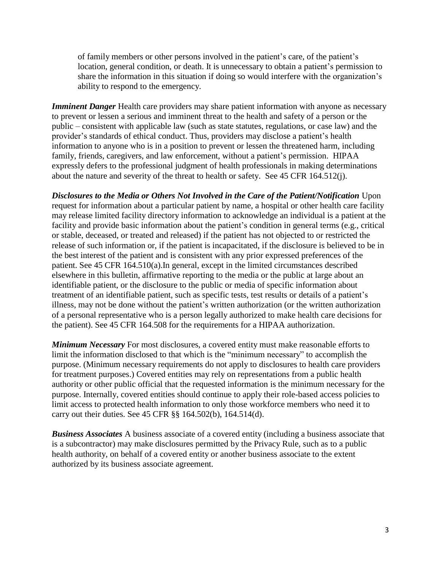of family members or other persons involved in the patient's care, of the patient's location, general condition, or death. It is unnecessary to obtain a patient's permission to share the information in this situation if doing so would interfere with the organization's ability to respond to the emergency.

*Imminent Danger* Health care providers may share patient information with anyone as necessary to prevent or lessen a serious and imminent threat to the health and safety of a person or the public – consistent with applicable law (such as state statutes, regulations, or case law) and the provider's standards of ethical conduct. Thus, providers may disclose a patient's health information to anyone who is in a position to prevent or lessen the threatened harm, including family, friends, caregivers, and law enforcement, without a patient's permission. HIPAA expressly defers to the professional judgment of health professionals in making determinations about the nature and severity of the threat to health or safety. See 45 CFR 164.512(j).

*Disclosures to the Media or Others Not Involved in the Care of the Patient/Notification* Upon request for information about a particular patient by name, a hospital or other health care facility may release limited facility directory information to acknowledge an individual is a patient at the facility and provide basic information about the patient's condition in general terms (e.g., critical or stable, deceased, or treated and released) if the patient has not objected to or restricted the release of such information or, if the patient is incapacitated, if the disclosure is believed to be in the best interest of the patient and is consistent with any prior expressed preferences of the patient. See 45 CFR 164.510(a).In general, except in the limited circumstances described elsewhere in this bulletin, affirmative reporting to the media or the public at large about an identifiable patient, or the disclosure to the public or media of specific information about treatment of an identifiable patient, such as specific tests, test results or details of a patient's illness, may not be done without the patient's written authorization (or the written authorization of a personal representative who is a person legally authorized to make health care decisions for the patient). See 45 CFR 164.508 for the requirements for a HIPAA authorization.

*Minimum Necessary* For most disclosures, a covered entity must make reasonable efforts to limit the information disclosed to that which is the "minimum necessary" to accomplish the purpose. (Minimum necessary requirements do not apply to disclosures to health care providers for treatment purposes.) Covered entities may rely on representations from a public health authority or other public official that the requested information is the minimum necessary for the purpose. Internally, covered entities should continue to apply their role-based access policies to limit access to protected health information to only those workforce members who need it to carry out their duties. See 45 CFR §§ 164.502(b), 164.514(d).

*Business Associates* A business associate of a covered entity (including a business associate that is a subcontractor) may make disclosures permitted by the Privacy Rule, such as to a public health authority, on behalf of a covered entity or another business associate to the extent authorized by its business associate agreement.